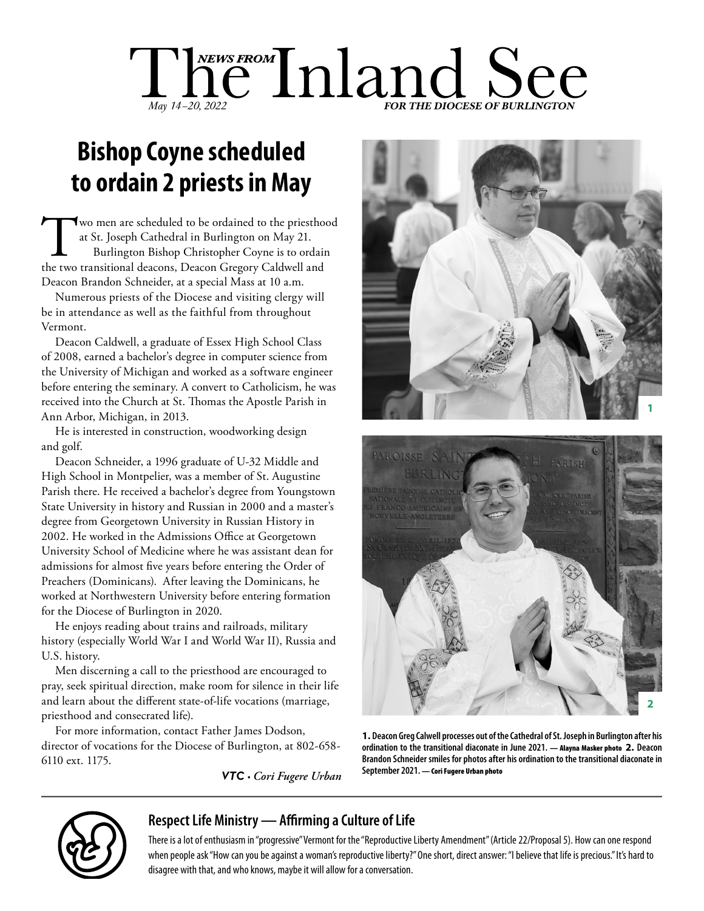# The Inland See *May 14-20, 2022*

## **Bishop Coyne scheduled to ordain 2 priests in May**

Two men are scheduled to be ordained to the priesthood at St. Joseph Cathedral in Burlington on May 21. Burlington Bishop Christopher Coyne is to ordain the two transitional deacons, Deacon Gregory Caldwell and Deacon Brandon Schneider, at a special Mass at 10 a.m.

Numerous priests of the Diocese and visiting clergy will be in attendance as well as the faithful from throughout Vermont.

Deacon Caldwell, a graduate of Essex High School Class of 2008, earned a bachelor's degree in computer science from the University of Michigan and worked as a software engineer before entering the seminary. A convert to Catholicism, he was received into the Church at St. Thomas the Apostle Parish in Ann Arbor, Michigan, in 2013.

He is interested in construction, woodworking design and golf.

Deacon Schneider, a 1996 graduate of U-32 Middle and High School in Montpelier, was a member of St. Augustine Parish there. He received a bachelor's degree from Youngstown State University in history and Russian in 2000 and a master's degree from Georgetown University in Russian History in 2002. He worked in the Admissions Office at Georgetown University School of Medicine where he was assistant dean for admissions for almost five years before entering the Order of Preachers (Dominicans). After leaving the Dominicans, he worked at Northwestern University before entering formation for the Diocese of Burlington in 2020.

He enjoys reading about trains and railroads, military history (especially World War I and World War II), Russia and U.S. history.

Men discerning a call to the priesthood are encouraged to pray, seek spiritual direction, make room for silence in their life and learn about the different state-of-life vocations (marriage, priesthood and consecrated life).

For more information, contact Father James Dodson, director of vocations for the Diocese of Burlington, at 802-658- 6110 ext. 1175.

*VTC • Cori Fugere Urban*





**1. Deacon Greg Calwell processes out of the Cathedral of St. Joseph in Burlington after his ordination to the transitional diaconate in June 2021.** — Alayna Masker photo **2. Deacon Brandon Schneider smiles for photos after his ordination to the transitional diaconate in**  September 2021. - Cori Fugere Urban photo



## **Respect Life Ministry — Affirming a Culture of Life**

There is a lot of enthusiasm in "progressive" Vermont for the "Reproductive Liberty Amendment" (Article 22/Proposal 5). How can one respond when people ask "How can you be against a woman's reproductive liberty?" One short, direct answer: "I believe that life is precious." It's hard to disagree with that, and who knows, maybe it will allow for a conversation.